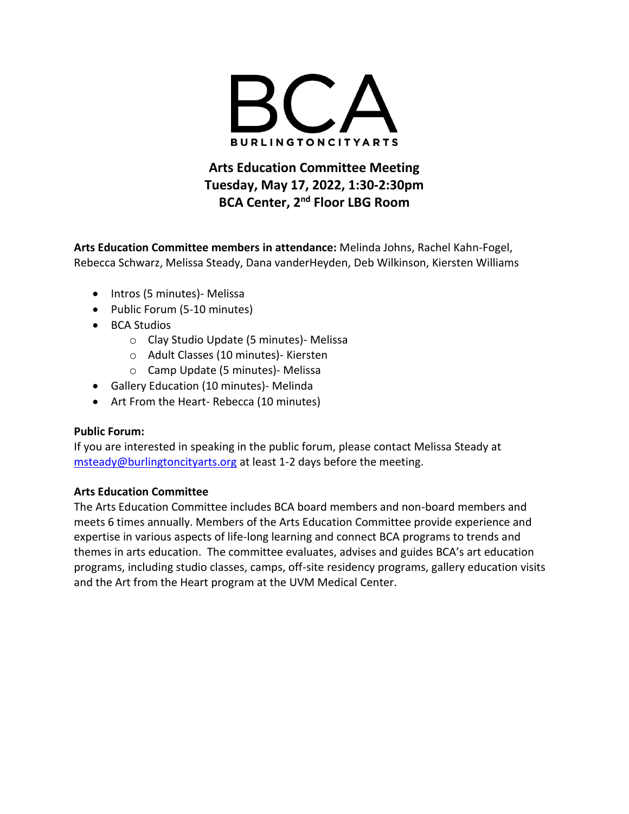

**Arts Education Committee Meeting Tuesday, May 17, 2022, 1:30-2:30pm BCA Center, 2nd Floor LBG Room**

**Arts Education Committee members in attendance:** Melinda Johns, Rachel Kahn-Fogel, Rebecca Schwarz, Melissa Steady, Dana vanderHeyden, Deb Wilkinson, Kiersten Williams

- Intros (5 minutes) Melissa
- Public Forum (5-10 minutes)
- BCA Studios
	- o Clay Studio Update (5 minutes)- Melissa
	- o Adult Classes (10 minutes)- Kiersten
	- o Camp Update (5 minutes)- Melissa
- Gallery Education (10 minutes)- Melinda
- Art From the Heart- Rebecca (10 minutes)

# **Public Forum:**

If you are interested in speaking in the public forum, please contact Melissa Steady at [msteady@burlingtoncityarts.org](mailto:msteady@burlingtoncityarts.org) at least 1-2 days before the meeting.

#### **Arts Education Committee**

The Arts Education Committee includes BCA board members and non-board members and meets 6 times annually. Members of the Arts Education Committee provide experience and expertise in various aspects of life-long learning and connect BCA programs to trends and themes in arts education. The committee evaluates, advises and guides BCA's art education programs, including studio classes, camps, off-site residency programs, gallery education visits and the Art from the Heart program at the UVM Medical Center.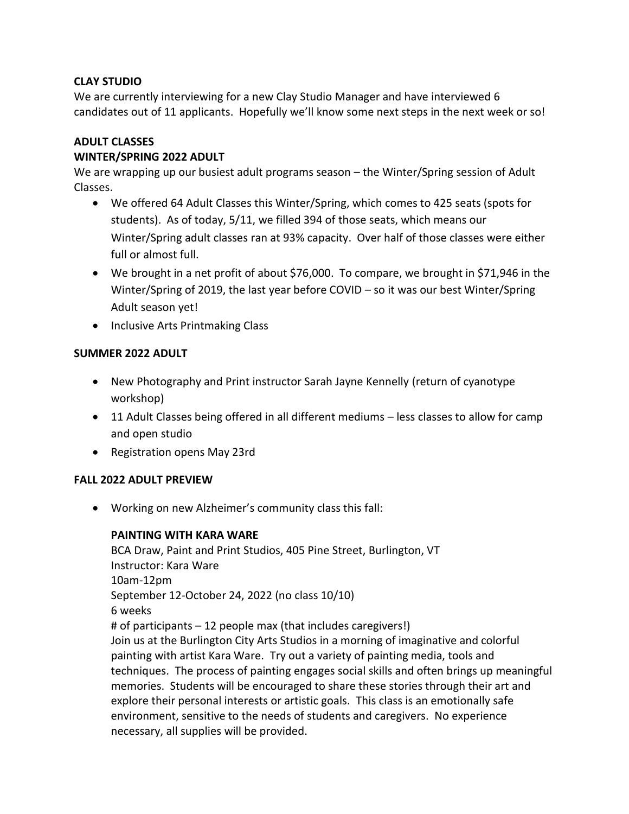# **CLAY STUDIO**

We are currently interviewing for a new Clay Studio Manager and have interviewed 6 candidates out of 11 applicants. Hopefully we'll know some next steps in the next week or so!

### **ADULT CLASSES**

### **WINTER/SPRING 2022 ADULT**

We are wrapping up our busiest adult programs season – the Winter/Spring session of Adult Classes.

- We offered 64 Adult Classes this Winter/Spring, which comes to 425 seats (spots for students). As of today, 5/11, we filled 394 of those seats, which means our Winter/Spring adult classes ran at 93% capacity. Over half of those classes were either full or almost full.
- We brought in a net profit of about \$76,000. To compare, we brought in \$71,946 in the Winter/Spring of 2019, the last year before COVID – so it was our best Winter/Spring Adult season yet!
- Inclusive Arts Printmaking Class

# **SUMMER 2022 ADULT**

- New Photography and Print instructor Sarah Jayne Kennelly (return of cyanotype workshop)
- 11 Adult Classes being offered in all different mediums less classes to allow for camp and open studio
- Registration opens May 23rd

#### **FALL 2022 ADULT PREVIEW**

Working on new Alzheimer's community class this fall:

#### **PAINTING WITH KARA WARE**

BCA Draw, Paint and Print Studios, 405 Pine Street, Burlington, VT Instructor: Kara Ware 10am-12pm September 12-October 24, 2022 (no class 10/10) 6 weeks # of participants – 12 people max (that includes caregivers!) Join us at the Burlington City Arts Studios in a morning of imaginative and colorful painting with artist Kara Ware. Try out a variety of painting media, tools and techniques. The process of painting engages social skills and often brings up meaningful memories. Students will be encouraged to share these stories through their art and explore their personal interests or artistic goals. This class is an emotionally safe environment, sensitive to the needs of students and caregivers. No experience necessary, all supplies will be provided.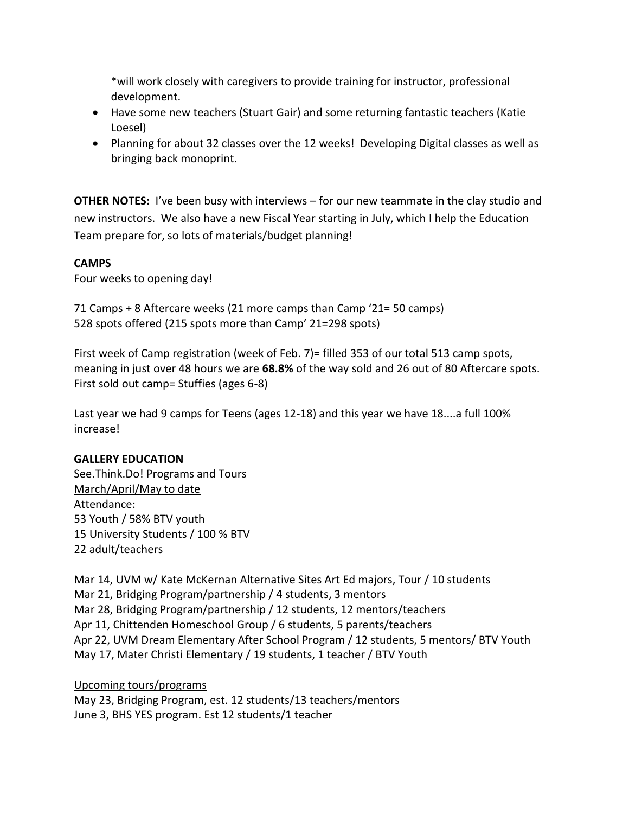\*will work closely with caregivers to provide training for instructor, professional development.

- Have some new teachers (Stuart Gair) and some returning fantastic teachers (Katie Loesel)
- Planning for about 32 classes over the 12 weeks! Developing Digital classes as well as bringing back monoprint.

**OTHER NOTES:** I've been busy with interviews – for our new teammate in the clay studio and new instructors. We also have a new Fiscal Year starting in July, which I help the Education Team prepare for, so lots of materials/budget planning!

# **CAMPS**

Four weeks to opening day!

71 Camps + 8 Aftercare weeks (21 more camps than Camp '21= 50 camps) 528 spots offered (215 spots more than Camp' 21=298 spots)

First week of Camp registration (week of Feb. 7) = filled 353 of our total 513 camp spots, meaning in just over 48 hours we are **68.8%** of the way sold and 26 out of 80 Aftercare spots. First sold out camp= Stuffies (ages 6-8)

Last year we had 9 camps for Teens (ages 12-18) and this year we have 18....a full 100% increase!

# **GALLERY EDUCATION**

See.Think.Do! Programs and Tours March/April/May to date Attendance: 53 Youth / 58% BTV youth 15 University Students / 100 % BTV 22 adult/teachers

Mar 14, UVM w/ Kate McKernan Alternative Sites Art Ed majors, Tour / 10 students Mar 21, Bridging Program/partnership / 4 students, 3 mentors Mar 28, Bridging Program/partnership / 12 students, 12 mentors/teachers Apr 11, Chittenden Homeschool Group / 6 students, 5 parents/teachers Apr 22, UVM Dream Elementary After School Program / 12 students, 5 mentors/ BTV Youth May 17, Mater Christi Elementary / 19 students, 1 teacher / BTV Youth

Upcoming tours/programs May 23, Bridging Program, est. 12 students/13 teachers/mentors

June 3, BHS YES program. Est 12 students/1 teacher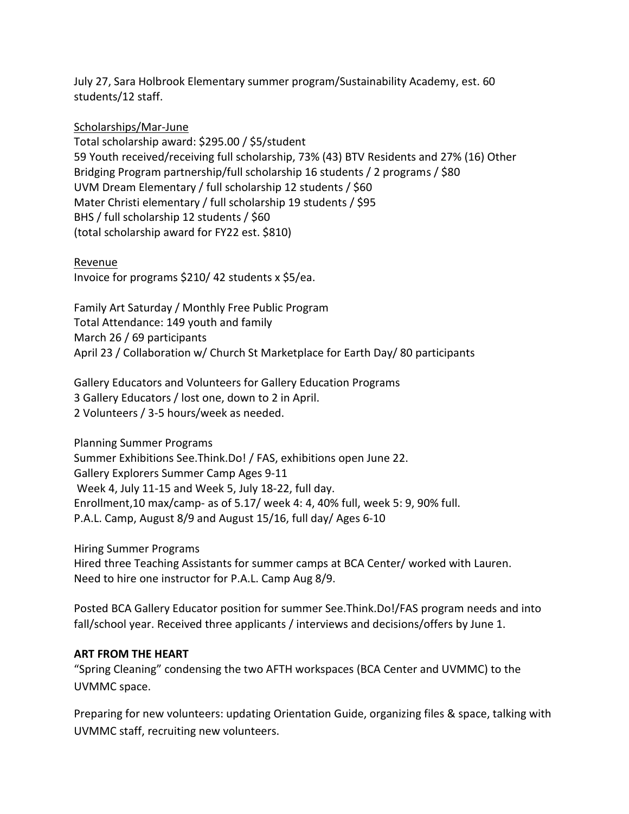July 27, Sara Holbrook Elementary summer program/Sustainability Academy, est. 60 students/12 staff.

### Scholarships/Mar-June

Total scholarship award: \$295.00 / \$5/student 59 Youth received/receiving full scholarship, 73% (43) BTV Residents and 27% (16) Other Bridging Program partnership/full scholarship 16 students / 2 programs / \$80 UVM Dream Elementary / full scholarship 12 students / \$60 Mater Christi elementary / full scholarship 19 students / \$95 BHS / full scholarship 12 students / \$60 (total scholarship award for FY22 est. \$810)

#### Revenue

Invoice for programs \$210/ 42 students x \$5/ea.

Family Art Saturday / Monthly Free Public Program Total Attendance: 149 youth and family March 26 / 69 participants April 23 / Collaboration w/ Church St Marketplace for Earth Day/ 80 participants

Gallery Educators and Volunteers for Gallery Education Programs 3 Gallery Educators / lost one, down to 2 in April. 2 Volunteers / 3-5 hours/week as needed.

Planning Summer Programs Summer Exhibitions See.Think.Do! / FAS, exhibitions open June 22. Gallery Explorers Summer Camp Ages 9-11 Week 4, July 11-15 and Week 5, July 18-22, full day. Enrollment,10 max/camp- as of 5.17/ week 4: 4, 40% full, week 5: 9, 90% full. P.A.L. Camp, August 8/9 and August 15/16, full day/ Ages 6-10

Hiring Summer Programs Hired three Teaching Assistants for summer camps at BCA Center/ worked with Lauren. Need to hire one instructor for P.A.L. Camp Aug 8/9.

Posted BCA Gallery Educator position for summer See.Think.Do!/FAS program needs and into fall/school year. Received three applicants / interviews and decisions/offers by June 1.

#### **ART FROM THE HEART**

"Spring Cleaning" condensing the two AFTH workspaces (BCA Center and UVMMC) to the UVMMC space.

Preparing for new volunteers: updating Orientation Guide, organizing files & space, talking with UVMMC staff, recruiting new volunteers.